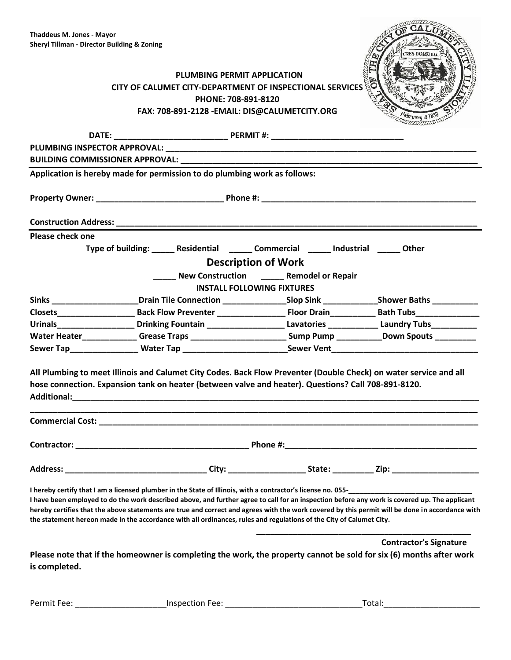| CALUM                 |
|-----------------------|
|                       |
| <b>URES DOMUUM</b>    |
|                       |
|                       |
|                       |
| H<br>February 13,1893 |
| aann                  |

| PLUMBING PERMIT APPLICATION                              |
|----------------------------------------------------------|
| CITY OF CALUMET CITY-DEPARTMENT OF INSPECTIONAL SERVICES |
| PHONE: 708-891-8120                                      |
| FAX: 708-891-2128 - EMAIL: DIS@CALUMETCITY.ORG           |
|                                                          |

|                                   | Application is hereby made for permission to do plumbing work as follows: |                                                                                                                                                                                                                                                                                                                                                                                                                         |                               |  |  |
|-----------------------------------|---------------------------------------------------------------------------|-------------------------------------------------------------------------------------------------------------------------------------------------------------------------------------------------------------------------------------------------------------------------------------------------------------------------------------------------------------------------------------------------------------------------|-------------------------------|--|--|
|                                   |                                                                           |                                                                                                                                                                                                                                                                                                                                                                                                                         |                               |  |  |
|                                   |                                                                           |                                                                                                                                                                                                                                                                                                                                                                                                                         |                               |  |  |
| Please check one                  |                                                                           |                                                                                                                                                                                                                                                                                                                                                                                                                         |                               |  |  |
|                                   |                                                                           | Type of building: ______ Residential ______ Commercial ______ Industrial ______ Other                                                                                                                                                                                                                                                                                                                                   |                               |  |  |
|                                   |                                                                           | <b>Description of Work</b>                                                                                                                                                                                                                                                                                                                                                                                              |                               |  |  |
|                                   |                                                                           | New Construction Remodel or Repair                                                                                                                                                                                                                                                                                                                                                                                      |                               |  |  |
| <b>INSTALL FOLLOWING FIXTURES</b> |                                                                           |                                                                                                                                                                                                                                                                                                                                                                                                                         |                               |  |  |
|                                   |                                                                           | Sinks ____________________________Drain Tile Connection ___________________Slop Sink _______________Shower Baths ___________                                                                                                                                                                                                                                                                                            |                               |  |  |
|                                   |                                                                           |                                                                                                                                                                                                                                                                                                                                                                                                                         |                               |  |  |
|                                   |                                                                           | Urinals________________________Drinking Fountain _______________________Lavatories ______________Laundry Tubs_____________                                                                                                                                                                                                                                                                                              |                               |  |  |
|                                   |                                                                           | Water Heater_____________Grease Traps _________________________Sump Pump __________Down Spouts ___________                                                                                                                                                                                                                                                                                                              |                               |  |  |
|                                   |                                                                           | Sewer Tap___________________Water Tap ___________________________Sewer Vent___________________________________                                                                                                                                                                                                                                                                                                          |                               |  |  |
|                                   |                                                                           | All Plumbing to meet Illinois and Calumet City Codes. Back Flow Preventer (Double Check) on water service and all<br>hose connection. Expansion tank on heater (between valve and heater). Questions? Call 708-891-8120.<br>,我们也不能在这里的人,我们也不能在这里的人,我们也不能在这里的人,我们也不能在这里的人,我们也不能在这里的人,我们也不能在这里的人,我们也不能在这里的人,我们                                                                                                            |                               |  |  |
|                                   |                                                                           |                                                                                                                                                                                                                                                                                                                                                                                                                         |                               |  |  |
|                                   |                                                                           |                                                                                                                                                                                                                                                                                                                                                                                                                         |                               |  |  |
|                                   |                                                                           |                                                                                                                                                                                                                                                                                                                                                                                                                         |                               |  |  |
|                                   |                                                                           | I have been employed to do the work described above, and further agree to call for an inspection before any work is covered up. The applicant<br>hereby certifies that the above statements are true and correct and agrees with the work covered by this permit will be done in accordance with<br>the statement hereon made in the accordance with all ordinances, rules and regulations of the City of Calumet City. |                               |  |  |
| is completed.                     |                                                                           | Please note that if the homeowner is completing the work, the property cannot be sold for six (6) months after work                                                                                                                                                                                                                                                                                                     | <b>Contractor's Signature</b> |  |  |

Permit Fee: \_\_\_\_\_\_\_\_\_\_\_\_\_\_\_\_\_\_\_\_Inspection Fee: \_\_\_\_\_\_\_\_\_\_\_\_\_\_\_\_\_\_\_\_\_\_\_\_\_\_\_\_\_\_Total:\_\_\_\_\_\_\_\_\_\_\_\_\_\_\_\_\_\_\_\_\_